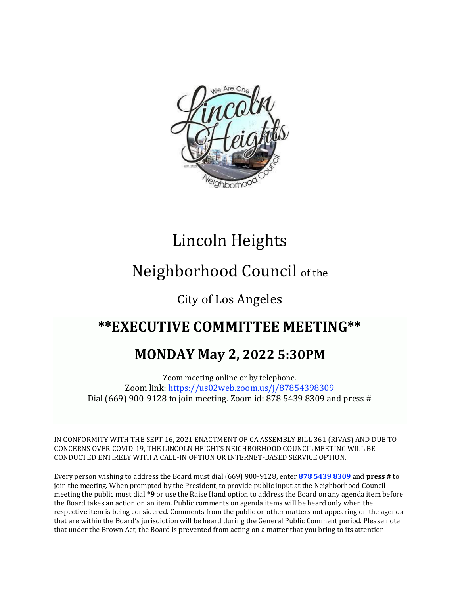

# Lincoln Heights

# Neighborhood Council of the

## City of Los Angeles

## **\*\*EXECUTIVE COMMITTEE MEETING\*\***

## **MONDAY May 2, 2022 5:30PM**

Zoom meeting online or by telephone. Zoom link: https://us02web.zoom.us/j/87854398309 Dial (669) 900-9128 to join meeting. Zoom id: 878 5439 8309 and press #

IN CONFORMITY WITH THE SEPT 16, 2021 ENACTMENT OF CA ASSEMBLY BILL 361 (RIVAS) AND DUE TO CONCERNS OVER COVID-19, THE LINCOLN HEIGHTS NEIGHBORHOOD COUNCIL MEETING WILL BE CONDUCTED ENTIRELY WITH A CALL-IN OPTION OR INTERNET-BASED SERVICE OPTION.

Every person wishing to address the Board must dial (669) 900-9128, enter **878 5439 8309** and **press #** to join the meeting. When prompted by the President, to provide public input at the Neighborhood Council meeting the public must dial **\*9** or use the Raise Hand option to address the Board on any agenda item before the Board takes an action on an item. Public comments on agenda items will be heard only when the respective item is being considered. Comments from the public on other matters not appearing on the agenda that are within the Board's jurisdiction will be heard during the General Public Comment period. Please note that under the Brown Act, the Board is prevented from acting on a matter that you bring to its attention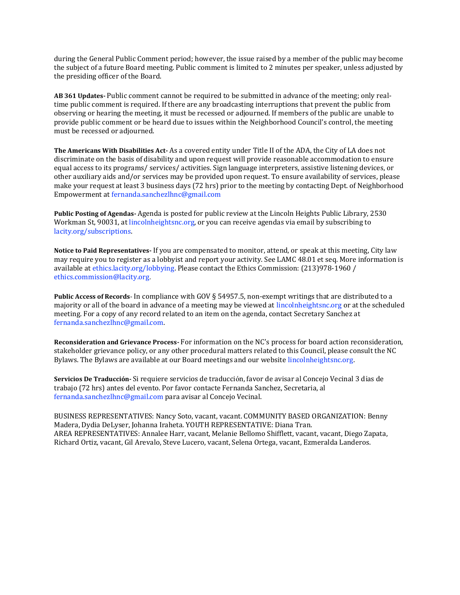during the General Public Comment period; however, the issue raised by a member of the public may become the subject of a future Board meeting. Public comment is limited to 2 minutes per speaker, unless adjusted by the presiding officer of the Board.

**AB 361 Updates-** Public comment cannot be required to be submitted in advance of the meeting; only realtime public comment is required. If there are any broadcasting interruptions that prevent the public from observing or hearing the meeting, it must be recessed or adjourned. If members of the public are unable to provide public comment or be heard due to issues within the Neighborhood Council's control, the meeting must be recessed or adjourned.

**The Americans With Disabilities Act-** As a covered entity under Title II of the ADA, the City of LA does not discriminate on the basis of disability and upon request will provide reasonable accommodation to ensure equal access to its programs/ services/ activities. Sign language interpreters, assistive listening devices, or other auxiliary aids and/or services may be provided upon request. To ensure availability of services, please make your request at least 3 business days (72 hrs) prior to the meeting by contacting Dept. of Neighborhood Empowerment at fernanda.sanchezlhnc@gmail.com

**Public Posting of Agendas-** Agenda is posted for public review at the Lincoln Heights Public Library, 2530 Workman St, 90031, at lincolnheightsnc.org, or you can receive agendas via email by subscribing to lacity.org/subscriptions.

**Notice to Paid Representatives-** If you are compensated to monitor, attend, or speak at this meeting, City law may require you to register as a lobbyist and report your activity. See LAMC 48.01 et seq. More information is available at ethics.lacity.org/lobbying. Please contact the Ethics Commission: (213)978-1960 / ethics.commission@lacity.org.

**Public Access of Records**- In compliance with GOV § 54957.5, non-exempt writings that are distributed to a majority or all of the board in advance of a meeting may be viewed at lincolnheightsnc.org or at the scheduled meeting. For a copy of any record related to an item on the agenda, contact Secretary Sanchez at fernanda.sanchezlhnc@gmail.com.

**Reconsideration and Grievance Process-** For information on the NC's process for board action reconsideration, stakeholder grievance policy, or any other procedural matters related to this Council, please consult the NC Bylaws. The Bylaws are available at our Board meetings and our website lincolnheightsnc.org.

**Servicios De Traducción-** Si requiere servicios de traducción, favor de avisar al Concejo Vecinal 3 días de trabajo (72 hrs) antes del evento. Por favor contacte Fernanda Sanchez, Secretaria, al fernanda.sanchezlhnc@gmail.com para avisar al Concejo Vecinal.

BUSINESS REPRESENTATIVES: Nancy Soto, vacant, vacant. COMMUNITY BASED ORGANIZATION: Benny Madera, Dydia DeLyser, Johanna Iraheta. YOUTH REPRESENTATIVE: Diana Tran. AREA REPRESENTATIVES: Annalee Harr, vacant, Melanie Bellomo Shifflett, vacant, vacant, Diego Zapata, Richard Ortiz, vacant, Gil Arevalo, Steve Lucero, vacant, Selena Ortega, vacant, Ezmeralda Landeros.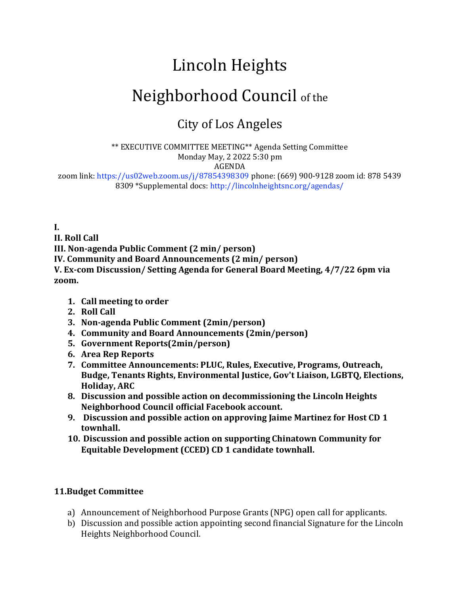# Lincoln Heights

## Neighborhood Council of the

## City of Los Angeles

\*\* EXECUTIVE COMMITTEE MEETING\*\* Agenda Setting Committee Monday May, 2 2022 5:30 pm AGENDA

zoom link: https://us02web.zoom.us/j/87854398309 phone: (669) 900-9128 zoom id: 878 5439 8309 \*Supplemental docs: http://lincolnheightsnc.org/agendas/

**I.**

**II. Roll Call**

**III. Non-agenda Public Comment (2 min/ person)**

**IV. Community and Board Announcements (2 min/ person)**

**V. Ex-com Discussion/ Setting Agenda for General Board Meeting, 4/7/22 6pm via zoom.** 

- **1. Call meeting to order**
- **2. Roll Call**
- **3. Non-agenda Public Comment (2min/person)**
- **4. Community and Board Announcements (2min/person)**
- **5. Government Reports(2min/person)**
- **6. Area Rep Reports**
- **7. Committee Announcements: PLUC, Rules, Executive, Programs, Outreach, Budge, Tenants Rights, Environmental Justice, Gov't Liaison, LGBTQ, Elections, Holiday, ARC**
- **8. Discussion and possible action on decommissioning the Lincoln Heights Neighborhood Council official Facebook account.**
- **9. Discussion and possible action on approving Jaime Martinez for Host CD 1 townhall.**
- **10. Discussion and possible action on supporting Chinatown Community for Equitable Development (CCED) CD 1 candidate townhall.**

### **11.Budget Committee**

- a) Announcement of Neighborhood Purpose Grants (NPG) open call for applicants.
- b) Discussion and possible action appointing second financial Signature for the Lincoln Heights Neighborhood Council.